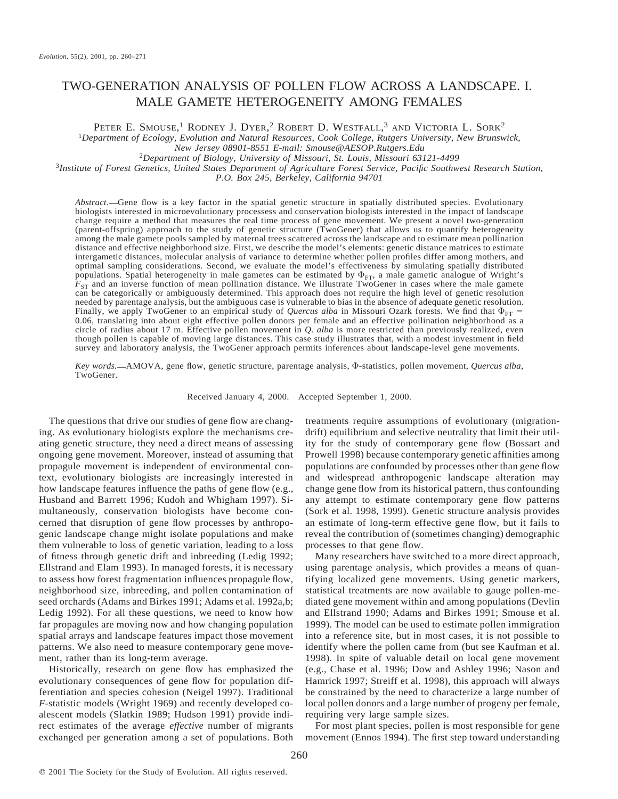# TWO-GENERATION ANALYSIS OF POLLEN FLOW ACROSS A LANDSCAPE. I. MALE GAMETE HETEROGENEITY AMONG FEMALES

Peter E. Smouse,<sup>1</sup> Rodney J. Dyer,<sup>2</sup> Robert D. Westfall,<sup>3</sup> and Victoria L. Sork<sup>2</sup> <sup>1</sup>*Department of Ecology, Evolution and Natural Resources, Cook College, Rutgers University, New Brunswick,*

New Jersey 08901-8551 E-mail: Smouse@AESOP.Rutgers.Edu<br><sup>2</sup>Department of Biology, University of Missouri, St. Louis, Missouri 63121-4499<br><sup>3</sup>Institute of Forest Genetics, United States Department of Agriculture Forest Servic

*P.O. Box 245, Berkeley, California 94701*

*Abstract.* Gene flow is a key factor in the spatial genetic structure in spatially distributed species. Evolutionary biologists interested in microevolutionary processess and conservation biologists interested in the impact of landscape change require a method that measures the real time process of gene movement. We present a novel two-generation (parent-offspring) approach to the study of genetic structure (TwoGener) that allows us to quantify heterogeneity among the male gamete pools sampled by maternal trees scattered across the landscape and to estimate mean pollination distance and effective neighborhood size. First, we describe the model's elements: genetic distance matrices to estimate intergametic distances, molecular analysis of variance to determine whether pollen profiles differ among mothers, and optimal sampling considerations. Second, we evaluate the model's effectiveness by simulating spatially distributed populations. Spatial heterogeneity in male gametes can be estimated by  $\Phi_{FT}$ , a male gametic analogue of Wright's *F*<sub>ST</sub> and an inverse function of mean pollination distance. We illustrate TwoGener in cases where the male gamete can be categorically or ambiguously determined. This approach does not require the high level of genetic resolution needed by parentage analysis, but the ambiguous case is vulnerable to bias in the absence of adequate genetic resolution. Finally, we apply TwoGener to an empirical study of *Quercus alba* in Missouri Ozark forests. We find that  $\Phi_{FT}$  = 0.06, translating into about eight effective pollen donors per female and an effective pollination neighborhood as a circle of radius about 17 m. Effective pollen movement in *Q. alba* is more restricted than previously realized, even though pollen is capable of moving large distances. This case study illustrates that, with a modest investment in field survey and laboratory analysis, the TwoGener approach permits inferences about landscape-level gene movements.

*Key words.* --AMOVA, gene flow, genetic structure, parentage analysis,  $\Phi$ -statistics, pollen movement, *Quercus alba*, TwoGener.

Received January 4, 2000. Accepted September 1, 2000.

The questions that drive our studies of gene flow are changing. As evolutionary biologists explore the mechanisms creating genetic structure, they need a direct means of assessing ongoing gene movement. Moreover, instead of assuming that propagule movement is independent of environmental context, evolutionary biologists are increasingly interested in how landscape features influence the paths of gene flow (e.g., Husband and Barrett 1996; Kudoh and Whigham 1997). Simultaneously, conservation biologists have become concerned that disruption of gene flow processes by anthropogenic landscape change might isolate populations and make them vulnerable to loss of genetic variation, leading to a loss of fitness through genetic drift and inbreeding (Ledig 1992; Ellstrand and Elam 1993). In managed forests, it is necessary to assess how forest fragmentation influences propagule flow, neighborhood size, inbreeding, and pollen contamination of seed orchards (Adams and Birkes 1991; Adams et al. 1992a,b; Ledig 1992). For all these questions, we need to know how far propagules are moving now and how changing population spatial arrays and landscape features impact those movement patterns. We also need to measure contemporary gene movement, rather than its long-term average.

Historically, research on gene flow has emphasized the evolutionary consequences of gene flow for population differentiation and species cohesion (Neigel 1997). Traditional *F*-statistic models (Wright 1969) and recently developed coalescent models (Slatkin 1989; Hudson 1991) provide indirect estimates of the average *effective* number of migrants exchanged per generation among a set of populations. Both treatments require assumptions of evolutionary (migrationdrift) equilibrium and selective neutrality that limit their utility for the study of contemporary gene flow (Bossart and Prowell 1998) because contemporary genetic affinities among populations are confounded by processes other than gene flow and widespread anthropogenic landscape alteration may change gene flow from its historical pattern, thus confounding any attempt to estimate contemporary gene flow patterns (Sork et al. 1998, 1999). Genetic structure analysis provides an estimate of long-term effective gene flow, but it fails to reveal the contribution of (sometimes changing) demographic processes to that gene flow.

Many researchers have switched to a more direct approach, using parentage analysis, which provides a means of quantifying localized gene movements. Using genetic markers, statistical treatments are now available to gauge pollen-mediated gene movement within and among populations (Devlin and Ellstrand 1990; Adams and Birkes 1991; Smouse et al. 1999). The model can be used to estimate pollen immigration into a reference site, but in most cases, it is not possible to identify where the pollen came from (but see Kaufman et al. 1998). In spite of valuable detail on local gene movement (e.g., Chase et al. 1996; Dow and Ashley 1996; Nason and Hamrick 1997; Streiff et al. 1998), this approach will always be constrained by the need to characterize a large number of local pollen donors and a large number of progeny per female, requiring very large sample sizes.

For most plant species, pollen is most responsible for gene movement (Ennos 1994). The first step toward understanding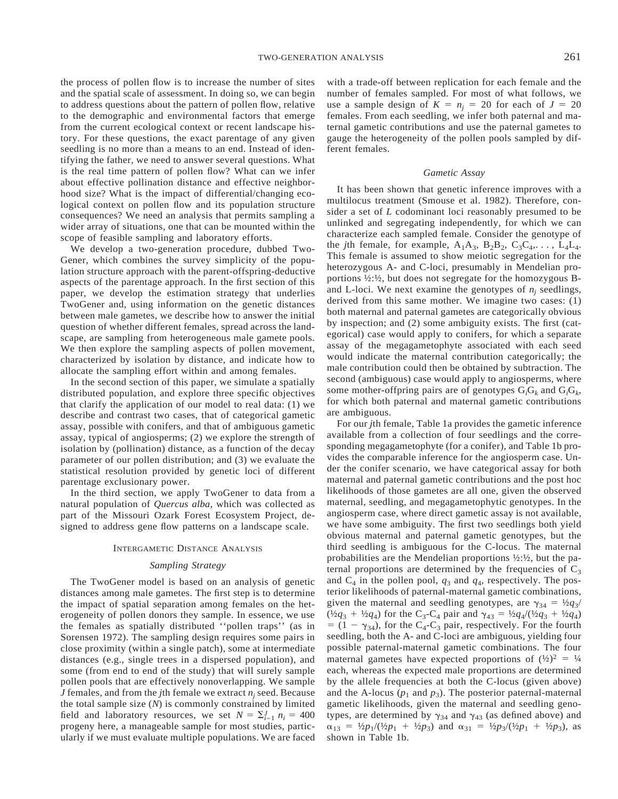the process of pollen flow is to increase the number of sites and the spatial scale of assessment. In doing so, we can begin to address questions about the pattern of pollen flow, relative to the demographic and environmental factors that emerge from the current ecological context or recent landscape history. For these questions, the exact parentage of any given seedling is no more than a means to an end. Instead of identifying the father, we need to answer several questions. What is the real time pattern of pollen flow? What can we infer about effective pollination distance and effective neighborhood size? What is the impact of differential/changing ecological context on pollen flow and its population structure consequences? We need an analysis that permits sampling a wider array of situations, one that can be mounted within the scope of feasible sampling and laboratory efforts.

We develop a two-generation procedure, dubbed Two-Gener, which combines the survey simplicity of the population structure approach with the parent-offspring-deductive aspects of the parentage approach. In the first section of this paper, we develop the estimation strategy that underlies TwoGener and, using information on the genetic distances between male gametes, we describe how to answer the initial question of whether different females, spread across the landscape, are sampling from heterogeneous male gamete pools. We then explore the sampling aspects of pollen movement, characterized by isolation by distance, and indicate how to allocate the sampling effort within and among females.

In the second section of this paper, we simulate a spatially distributed population, and explore three specific objectives that clarify the application of our model to real data: (1) we describe and contrast two cases, that of categorical gametic assay, possible with conifers, and that of ambiguous gametic assay, typical of angiosperms; (2) we explore the strength of isolation by (pollination) distance, as a function of the decay parameter of our pollen distribution; and (3) we evaluate the statistical resolution provided by genetic loci of different parentage exclusionary power.

In the third section, we apply TwoGener to data from a natural population of *Quercus alba*, which was collected as part of the Missouri Ozark Forest Ecosystem Project, designed to address gene flow patterns on a landscape scale.

## INTERGAMETIC DISTANCE ANALYSIS

# *Sampling Strategy*

The TwoGener model is based on an analysis of genetic distances among male gametes. The first step is to determine the impact of spatial separation among females on the heterogeneity of pollen donors they sample. In essence, we use the females as spatially distributed ''pollen traps'' (as in Sorensen 1972). The sampling design requires some pairs in close proximity (within a single patch), some at intermediate distances (e.g., single trees in a dispersed population), and some (from end to end of the study) that will surely sample pollen pools that are effectively nonoverlapping. We sample *J* females, and from the *j*th female we extract  $n_j$  seed. Because the total sample size (*N*) is commonly constrained by limited field and laboratory resources, we set  $N = \sum_{i=1}^{J} n_i = 400$ progeny here, a manageable sample for most studies, particularly if we must evaluate multiple populations. We are faced with a trade-off between replication for each female and the number of females sampled. For most of what follows, we use a sample design of  $K = n_j = 20$  for each of  $J = 20$ females. From each seedling, we infer both paternal and maternal gametic contributions and use the paternal gametes to gauge the heterogeneity of the pollen pools sampled by different females.

## *Gametic Assay*

It has been shown that genetic inference improves with a multilocus treatment (Smouse et al. 1982). Therefore, consider a set of *L* codominant loci reasonably presumed to be unlinked and segregating independently, for which we can characterize each sampled female. Consider the genotype of the *j*th female, for example,  $A_1A_3$ ,  $B_2B_2$ ,  $C_3C_4$ , ...,  $L_4L_4$ . This female is assumed to show meiotic segregation for the heterozygous A- and C-loci, presumably in Mendelian proportions ½:½, but does not segregate for the homozygous Band L-loci. We next examine the genotypes of  $n_i$  seedlings, derived from this same mother. We imagine two cases: (1) both maternal and paternal gametes are categorically obvious by inspection; and (2) some ambiguity exists. The first (categorical) case would apply to conifers, for which a separate assay of the megagametophyte associated with each seed would indicate the maternal contribution categorically; the male contribution could then be obtained by subtraction. The second (ambiguous) case would apply to angiosperms, where some mother-offpring pairs are of genotypes  $G_iG_k$  and  $G_iG_k$ , for which both paternal and maternal gametic contributions are ambiguous.

For our *j*th female, Table 1a provides the gametic inference available from a collection of four seedlings and the corresponding megagametophyte (for a conifer), and Table 1b provides the comparable inference for the angiosperm case. Under the conifer scenario, we have categorical assay for both maternal and paternal gametic contributions and the post hoc likelihoods of those gametes are all one, given the observed maternal, seedling, and megagametophytic genotypes. In the angiosperm case, where direct gametic assay is not available, we have some ambiguity. The first two seedlings both yield obvious maternal and paternal gametic genotypes, but the third seedling is ambiguous for the C-locus. The maternal probabilities are the Mendelian proportions ½:½, but the paternal proportions are determined by the frequencies of  $C_3$ and  $C_4$  in the pollen pool,  $q_3$  and  $q_4$ , respectively. The posterior likelihoods of paternal-maternal gametic combinations, given the maternal and seedling genotypes, are  $\gamma_{34} = \frac{1}{2}q_3$ /  $(\frac{1}{2}q_3 + \frac{1}{2}q_4)$  for the C<sub>3</sub>-C<sub>4</sub> pair and  $\gamma_{43} = \frac{1}{2}q_4/(\frac{1}{2}q_3 + \frac{1}{2}q_4)$  $= (1 - \gamma_{34})$ , for the C<sub>4</sub>-C<sub>3</sub> pair, respectively. For the fourth seedling, both the A- and C-loci are ambiguous, yielding four possible paternal-maternal gametic combinations. The four maternal gametes have expected proportions of  $(\frac{1}{2})^2 = \frac{1}{4}$ each, whereas the expected male proportions are determined by the allele frequencies at both the C-locus (given above) and the A-locus  $(p_1 \text{ and } p_3)$ . The posterior paternal-maternal gametic likelihoods, given the maternal and seedling genotypes, are determined by  $\gamma_{34}$  and  $\gamma_{43}$  (as defined above) and  $\alpha_{13} = \frac{1}{2}p_1/(\frac{1}{2}p_1 + \frac{1}{2}p_3)$  and  $\alpha_{31} = \frac{1}{2}p_3/(\frac{1}{2}p_1 + \frac{1}{2}p_3)$ , as shown in Table 1b.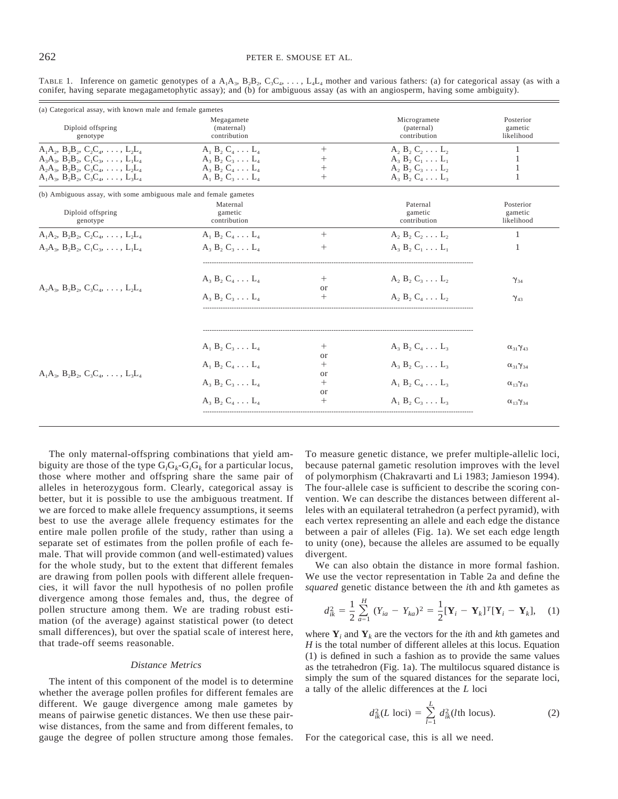TABLE 1. Inference on gametic genotypes of a  $A_1A_3$ ,  $B_2B_2$ ,  $C_3C_4$ , ...,  $L_4L_4$  mother and various fathers: (a) for categorical assay (as with a conifer, having separate megagametophytic assay); and (b) for ambiguous assay (as with an angiosperm, having some ambiguity).

| (a) Categorical assay, with known male and female gametes                                                                                                                       |                                                                                                                                                                                                                                                            |                                      |                                            |                                    |
|---------------------------------------------------------------------------------------------------------------------------------------------------------------------------------|------------------------------------------------------------------------------------------------------------------------------------------------------------------------------------------------------------------------------------------------------------|--------------------------------------|--------------------------------------------|------------------------------------|
| Diploid offspring<br>genotype                                                                                                                                                   | Megagamete<br>(maternal)<br>contribution                                                                                                                                                                                                                   |                                      | Microgramete<br>(paternal)<br>contribution | Posterior<br>gametic<br>likelihood |
| $A_1A_2, B_2B_2, C_2C_4, \ldots, L_2L_4$<br>$A_3A_3, B_2B_2, C_1C_3, \ldots, L_1L_4$<br>$A_2A_3$ , $B_2B_2$ , $C_3C_4$ , , $L_2L_4$<br>$A_1A_3, B_2B_2, C_3C_4, \ldots, L_3L_4$ | $^{+}$<br>$A, B, C, \ldots L$<br>$A_1 B_2 C_4 \ldots L_4$<br>$A_3 B_2 C_3 \ldots L_4$<br>$^{+}$<br>$A_3 B_2 C_1 \ldots L_1$<br>$A, B, C, \ldots L$<br>$A_3 B_2 C_4 \ldots L_4$<br>$^{+}$<br>$^{+}$<br>$A_3 B_2 C_4 \ldots L_3$<br>$A_1 B_2 C_3 \ldots L_4$ |                                      |                                            |                                    |
| (b) Ambiguous assay, with some ambiguous male and female gametes                                                                                                                |                                                                                                                                                                                                                                                            |                                      |                                            |                                    |
| Diploid offspring<br>genotype                                                                                                                                                   | Maternal<br>gametic<br>contribution                                                                                                                                                                                                                        |                                      | Paternal<br>gametic<br>contribution        | Posterior<br>gametic<br>likelihood |
| $A_1A_2$ , $B_2B_2$ , $C_2C_3$ , $\ldots$ , $L_2L_4$                                                                                                                            | $A_1 B_2 C_4 \ldots L_4$                                                                                                                                                                                                                                   | $^{+}$                               | $A, B, C, \ldots L$                        | 1                                  |
| $A_3A_3, B_2B_2, C_1C_3, \ldots, L_1L_4$                                                                                                                                        | $A_3, B_2, C_3, \ldots, L_4$                                                                                                                                                                                                                               | $^{+}$                               | $A_3 B_2 C_1 \ldots L_1$                   | 1                                  |
| $A_2A_3, B_2B_2, C_3C_4, \ldots, L_2L_4$                                                                                                                                        | $A_3 B_2 C_4 \ldots L_4$<br>$A, B, C, \ldots L$                                                                                                                                                                                                            | $+$<br><b>or</b><br>$+$              | $A, B, C, \ldots L$<br>$A, B, C, \ldots L$ | $\gamma_{34}$<br>$\gamma_{43}$     |
|                                                                                                                                                                                 | $A_1 B_2 C_3 \ldots L_4$                                                                                                                                                                                                                                   | $^{+}$<br><sub>or</sub>              | $A_3 B_2 C_4 \ldots L_3$                   | $\alpha_{31}\gamma_{43}$           |
|                                                                                                                                                                                 | $A_1 B_2 C_4 \ldots L_4$                                                                                                                                                                                                                                   | $^{+}$                               | $A_3 B_2 C_3 \ldots L_3$                   | $\alpha_{31}\gamma_{34}$           |
| $A_1A_3, B_2B_2, C_3C_4, \ldots, L_3L_4$                                                                                                                                        | $A_3 B_2 C_3 \ldots L_4$                                                                                                                                                                                                                                   | <sub>or</sub><br>$^{+}$<br><b>or</b> | $A_1 B_2 C_4 \ldots L_3$                   | $\alpha_{13}\gamma_{43}$           |
|                                                                                                                                                                                 | $A_3 B_2 C_4 \ldots L_4$                                                                                                                                                                                                                                   | $+$                                  | $A_1 B_2 C_3 \ldots L_3$                   | $\alpha_{13}\gamma_{34}$           |
|                                                                                                                                                                                 |                                                                                                                                                                                                                                                            |                                      |                                            |                                    |

The only maternal-offspring combinations that yield ambiguity are those of the type  $G_iG_k-G_iG_k$  for a particular locus, those where mother and offspring share the same pair of alleles in heterozygous form. Clearly, categorical assay is better, but it is possible to use the ambiguous treatment. If we are forced to make allele frequency assumptions, it seems best to use the average allele frequency estimates for the entire male pollen profile of the study, rather than using a separate set of estimates from the pollen profile of each female. That will provide common (and well-estimated) values for the whole study, but to the extent that different females are drawing from pollen pools with different allele frequencies, it will favor the null hypothesis of no pollen profile divergence among those females and, thus, the degree of pollen structure among them. We are trading robust estimation (of the average) against statistical power (to detect small differences), but over the spatial scale of interest here, that trade-off seems reasonable.

## *Distance Metrics*

The intent of this component of the model is to determine whether the average pollen profiles for different females are different. We gauge divergence among male gametes by means of pairwise genetic distances. We then use these pairwise distances, from the same and from different females, to gauge the degree of pollen structure among those females. To measure genetic distance, we prefer multiple-allelic loci, because paternal gametic resolution improves with the level of polymorphism (Chakravarti and Li 1983; Jamieson 1994). The four-allele case is sufficient to describe the scoring convention. We can describe the distances between different alleles with an equilateral tetrahedron (a perfect pyramid), with each vertex representing an allele and each edge the distance between a pair of alleles (Fig. 1a). We set each edge length to unity (one), because the alleles are assumed to be equally divergent.

We can also obtain the distance in more formal fashion. We use the vector representation in Table 2a and define the *squared* genetic distance between the *i*th and *k*th gametes as

$$
d_{ik}^2 = \frac{1}{2} \sum_{a=1}^{H} (Y_{ia} - Y_{ka})^2 = \frac{1}{2} [\mathbf{Y}_i - \mathbf{Y}_k]^T [\mathbf{Y}_i - \mathbf{Y}_k], \quad (1)
$$

where  $Y_i$  and  $Y_k$  are the vectors for the *i*th and *k*th gametes and *H* is the total number of different alleles at this locus. Equation (1) is defined in such a fashion as to provide the same values as the tetrahedron (Fig. 1a). The multilocus squared distance is simply the sum of the squared distances for the separate loci, a tally of the allelic differences at the *L* loci

$$
d_{ik}^{2}(L \text{ loci}) = \sum_{l=1}^{L} d_{ik}^{2}(l \text{th locus}).
$$
 (2)

For the categorical case, this is all we need.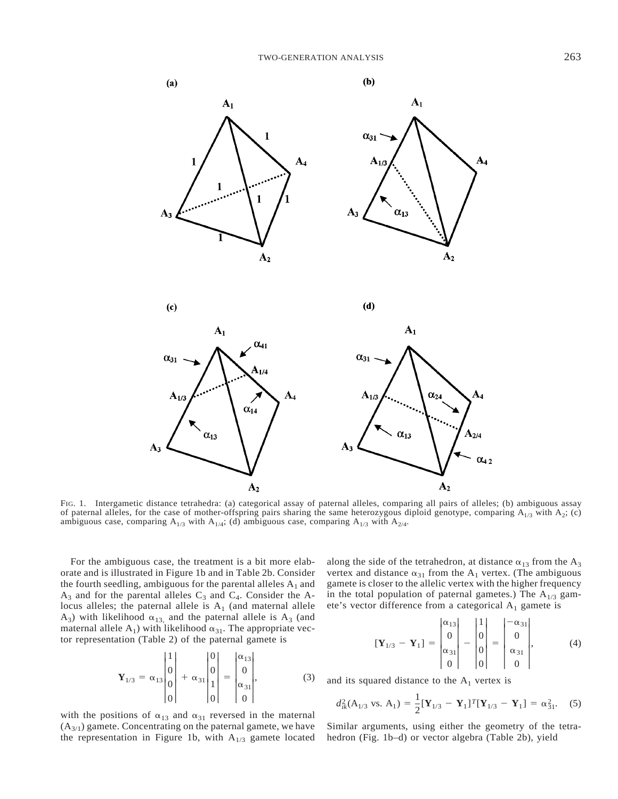

FIG. 1. Intergametic distance tetrahedra: (a) categorical assay of paternal alleles, comparing all pairs of alleles; (b) ambiguous assay of paternal alleles, for the case of mother-offspring pairs sharing the same heterozygous diploid genotype, comparing  $A_{1/3}$  with  $A_2$ ; (c) ambiguous case, comparing  $A_{1/3}$  with  $A_{1/4}$ ; (d) ambiguous case, comparing  $A_{1/3}$  with  $A_{2/4}$ .

For the ambiguous case, the treatment is a bit more elaborate and is illustrated in Figure 1b and in Table 2b. Consider the fourth seedling, ambiguous for the parental alleles  $A_1$  and  $A_3$  and for the parental alleles  $C_3$  and  $C_4$ . Consider the Alocus alleles; the paternal allele is  $A_1$  (and maternal allele  $A_3$ ) with likelihood  $\alpha_{13}$ , and the paternal allele is  $A_3$  (and maternal allele  $A_1$ ) with likelihood  $\alpha_{31}$ . The appropriate vector representation (Table 2) of the paternal gamete is

$$
\mathbf{Y}_{1/3} = \alpha_{13} \begin{vmatrix} 1 \\ 0 \\ 0 \\ 0 \end{vmatrix} + \alpha_{31} \begin{vmatrix} 0 \\ 0 \\ 1 \\ 0 \end{vmatrix} = \begin{vmatrix} \alpha_{13} \\ 0 \\ \alpha_{31} \\ 0 \end{vmatrix},
$$
 (3)

with the positions of  $\alpha_{13}$  and  $\alpha_{31}$  reversed in the maternal  $(A_{3/1})$  gamete. Concentrating on the paternal gamete, we have the representation in Figure 1b, with  $A_{1/3}$  gamete located

along the side of the tetrahedron, at distance  $\alpha_{13}$  from the  $A_3$ vertex and distance  $\alpha_{31}$  from the A<sub>1</sub> vertex. (The ambiguous gamete is closer to the allelic vertex with the higher frequency in the total population of paternal gametes.) The  $A_{1/3}$  gamete's vector difference from a categorical  $A_1$  gamete is

$$
\begin{bmatrix} \mathbf{Y}_{1/3} - \mathbf{Y}_1 \end{bmatrix} = \begin{bmatrix} \alpha_{13} \\ 0 \\ \alpha_{31} \\ 0 \end{bmatrix} - \begin{bmatrix} 1 \\ 0 \\ 0 \\ 0 \end{bmatrix} = \begin{bmatrix} -\alpha_{31} \\ 0 \\ \alpha_{31} \\ 0 \end{bmatrix}, \tag{4}
$$

and its squared distance to the  $A_1$  vertex is

$$
d_{ik}^{2}(\mathbf{A}_{1/3} \text{ vs. } \mathbf{A}_{1}) = \frac{1}{2} [\mathbf{Y}_{1/3} - \mathbf{Y}_{1}]^{T} [\mathbf{Y}_{1/3} - \mathbf{Y}_{1}] = \alpha_{31}^{2}.
$$
 (5)

Similar arguments, using either the geometry of the tetrahedron (Fig. 1b–d) or vector algebra (Table 2b), yield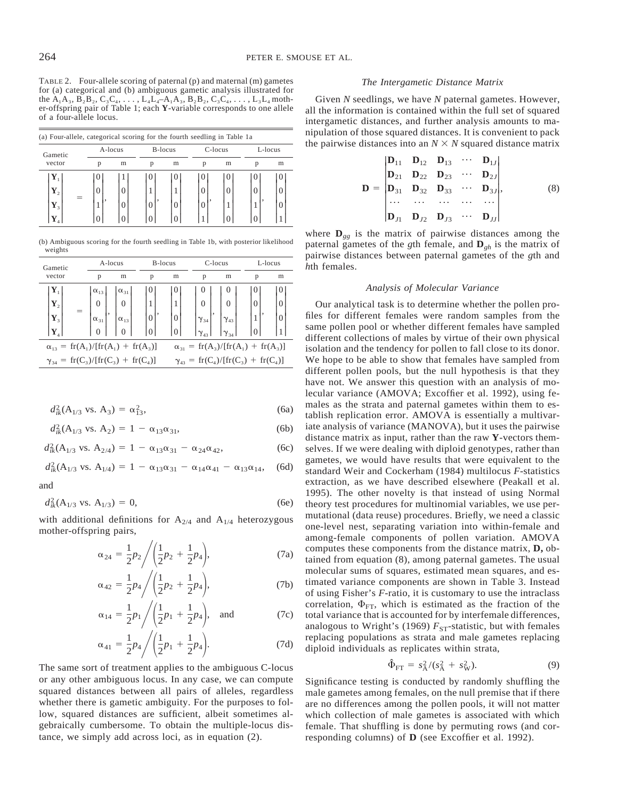TABLE 2. Four-allele scoring of paternal (p) and maternal (m) gametes for (a) categorical and (b) ambiguous gametic analysis illustrated for the  $A_1A_3$ ,  $B_2B_2$ ,  $C_3C_4$ , ...,  $L_4L_4-A_1A_3$ ,  $B_2B_2$ ,  $C_3C_4$ , ...,  $L_3L_4$  mother-offspring pair of Table 1; each **Y**-variable corresponds to one allele of a four-allele locus.

| Gametic                                              | A-locus                         |                    | B-locus              |                            | C-locus                          |                                       | L-locus                        |                                  |
|------------------------------------------------------|---------------------------------|--------------------|----------------------|----------------------------|----------------------------------|---------------------------------------|--------------------------------|----------------------------------|
| vector                                               | р                               | m                  | p                    | m                          | p                                | m                                     | p                              | m                                |
| ${\bf Y}_1$<br>$\mathbf{Y}_2$<br>$\mathbf{Y}_3$<br>Y | $\sigma$<br>$\overline{0}$<br>0 | 1<br>$\Omega$<br>0 | $\Omega$<br>$\Omega$ | $\overline{0}$<br>$\theta$ | $\theta$<br>$\Omega$<br>$\Omega$ | $\theta$<br>$\theta$<br>1<br>$\Omega$ | 0<br>$\Omega$<br>1<br>$\Omega$ | $\Omega$<br>$\Omega$<br>$\Omega$ |

(b) Ambiguous scoring for the fourth seedling in Table 1b, with posterior likelihood weights

| Gametic                                                                                                                                                                                                                                                                      | A-locus                                                |                                            | B-locus                        |                           | C-locus                                  |                                                        | L-locus                   |                                              |
|------------------------------------------------------------------------------------------------------------------------------------------------------------------------------------------------------------------------------------------------------------------------------|--------------------------------------------------------|--------------------------------------------|--------------------------------|---------------------------|------------------------------------------|--------------------------------------------------------|---------------------------|----------------------------------------------|
| vector                                                                                                                                                                                                                                                                       | p                                                      | m                                          | p                              | m                         | p                                        | m                                                      | p                         | m                                            |
| $\mathbf{Y}_{1}$<br>$\mathbf{Y}_2$<br>$\mathbf{Y}_3$<br>$\mathbf{Y}_{4}$                                                                                                                                                                                                     | $\alpha_{13}$<br>$\theta$<br>$\alpha_{31}$<br>$\Omega$ | $\alpha_{31}$<br>$\theta$<br>$\alpha_{13}$ | 0<br>1<br>$\theta$<br>$\Omega$ | 0<br>$\Omega$<br>$\Omega$ | O<br>0<br>$\gamma_{34}$<br>$\gamma_{43}$ | $\theta$<br>$\Omega$<br>$\gamma_{43}$<br>$\gamma_{34}$ | $\theta$<br>0<br>$\theta$ | $\overline{0}$<br>$\overline{0}$<br>$\theta$ |
| $\alpha_{13} = \text{fr}(A_1)/[\text{fr}(A_1) + \text{fr}(A_3)]$<br>$\alpha_{31} = \text{fr}(A_3)/[\text{fr}(A_1) + \text{fr}(A_3)]$<br>$\gamma_{34} = \text{fr}(C_3)/[\text{fr}(C_3) + \text{fr}(C_4)]$<br>$\gamma_{43} = \text{fr}(C_4)/[\text{fr}(C_3) + \text{fr}(C_4)]$ |                                                        |                                            |                                |                           |                                          |                                                        |                           |                                              |

$$
d_{ik}^2(\mathbf{A}_{1/3} \text{ vs. } \mathbf{A}_3) = \alpha_{13}^2,\tag{6a}
$$

$$
d_{ik}^{2}(\mathbf{A}_{1/3} \text{ vs. } \mathbf{A}_{2}) = 1 - \alpha_{13} \alpha_{31}, \qquad (6b)
$$

 $d_{ik}^2(A_{1/3} \text{ vs. } A_{2/4}) = 1 - \alpha_{13}\alpha_{31} - \alpha_{24}\alpha_{42},$  (6c)

$$
d_{ik}^{2}(A_{1/3} \text{ vs. } A_{1/4}) = 1 - \alpha_{13}\alpha_{31} - \alpha_{14}\alpha_{41} - \alpha_{13}\alpha_{14}, \quad (6d)
$$

and

$$
d_{ik}^2(\mathbf{A}_{1/3} \text{ vs. } \mathbf{A}_{1/3}) = 0, \tag{6e}
$$

with additional definitions for  $A_{2/4}$  and  $A_{1/4}$  heterozygous mother-offspring pairs,

$$
\alpha_{24} = \frac{1}{2}p_2 \Bigg/ \Bigg( \frac{1}{2}p_2 + \frac{1}{2}p_4 \Bigg), \tag{7a}
$$

$$
\alpha_{42} = \frac{1}{2}p_4 \bigg/ \bigg( \frac{1}{2}p_2 + \frac{1}{2}p_4 \bigg), \tag{7b}
$$

$$
\alpha_{14} = \frac{1}{2}p_1 \bigg/ \bigg( \frac{1}{2}p_1 + \frac{1}{2}p_4 \bigg), \text{ and } (7c)
$$

$$
\alpha_{41} = \frac{1}{2}p_4 \Bigg/ \Bigg( \frac{1}{2}p_1 + \frac{1}{2}p_4 \Bigg). \tag{7d}
$$

The same sort of treatment applies to the ambiguous C-locus or any other ambiguous locus. In any case, we can compute squared distances between all pairs of alleles, regardless whether there is gametic ambiguity. For the purposes to follow, squared distances are sufficient, albeit sometimes algebraically cumbersome. To obtain the multiple-locus distance, we simply add across loci, as in equation (2).

# *The Intergametic Distance Matrix*

Given *N* seedlings, we have *N* paternal gametes. However, all the information is contained within the full set of squared intergametic distances, and further analysis amounts to manipulation of those squared distances. It is convenient to pack the pairwise distances into an  $N \times N$  squared distance matrix

$$
\mathbf{D} = \begin{vmatrix} \mathbf{D}_{11} & \mathbf{D}_{12} & \mathbf{D}_{13} & \cdots & \mathbf{D}_{1J} \\ \mathbf{D}_{21} & \mathbf{D}_{22} & \mathbf{D}_{23} & \cdots & \mathbf{D}_{2J} \\ \mathbf{D}_{31} & \mathbf{D}_{32} & \mathbf{D}_{33} & \cdots & \mathbf{D}_{3J} \\ \cdots & \cdots & \cdots & \cdots & \cdots \\ \mathbf{D}_{J1} & \mathbf{D}_{J2} & \mathbf{D}_{J3} & \cdots & \mathbf{D}_{JJ} \end{vmatrix},
$$
 (8)

where  $\mathbf{D}_{ge}$  is the matrix of pairwise distances among the paternal gametes of the *g*th female, and **D***gh* is the matrix of pairwise distances between paternal gametes of the *g*th and *h*th females.

## *Analysis of Molecular Variance*

Our analytical task is to determine whether the pollen profiles for different females were random samples from the same pollen pool or whether different females have sampled different collections of males by virtue of their own physical isolation and the tendency for pollen to fall close to its donor. We hope to be able to show that females have sampled from different pollen pools, but the null hypothesis is that they have not. We answer this question with an analysis of molecular variance (AMOVA; Excoffier et al. 1992), using females as the strata and paternal gametes within them to establish replication error. AMOVA is essentially a multivariate analysis of variance (MANOVA), but it uses the pairwise distance matrix as input, rather than the raw **Y**-vectors themselves. If we were dealing with diploid genotypes, rather than gametes, we would have results that were equivalent to the standard Weir and Cockerham (1984) multilocus *F*-statistics extraction, as we have described elsewhere (Peakall et al. 1995). The other novelty is that instead of using Normal theory test procedures for multinomial variables, we use permutational (data reuse) procedures. Briefly, we need a classic one-level nest, separating variation into within-female and among-female components of pollen variation. AMOVA computes these components from the distance matrix, **D,** obtained from equation (8), among paternal gametes. The usual molecular sums of squares, estimated mean squares, and estimated variance components are shown in Table 3. Instead of using Fisher's *F*-ratio, it is customary to use the intraclass correlation,  $\Phi_{\text{FT}}$ , which is estimated as the fraction of the total variance that is accounted for by interfemale differences, analogous to Wright's (1969)  $F_{ST}$ -statistic, but with females replacing populations as strata and male gametes replacing diploid individuals as replicates within strata,

$$
\hat{\Phi}_{FT} = s_A^2/(s_A^2 + s_W^2). \tag{9}
$$

Significance testing is conducted by randomly shuffling the male gametes among females, on the null premise that if there are no differences among the pollen pools, it will not matter which collection of male gametes is associated with which female. That shuffling is done by permuting rows (and corresponding columns) of **D** (see Excoffier et al. 1992).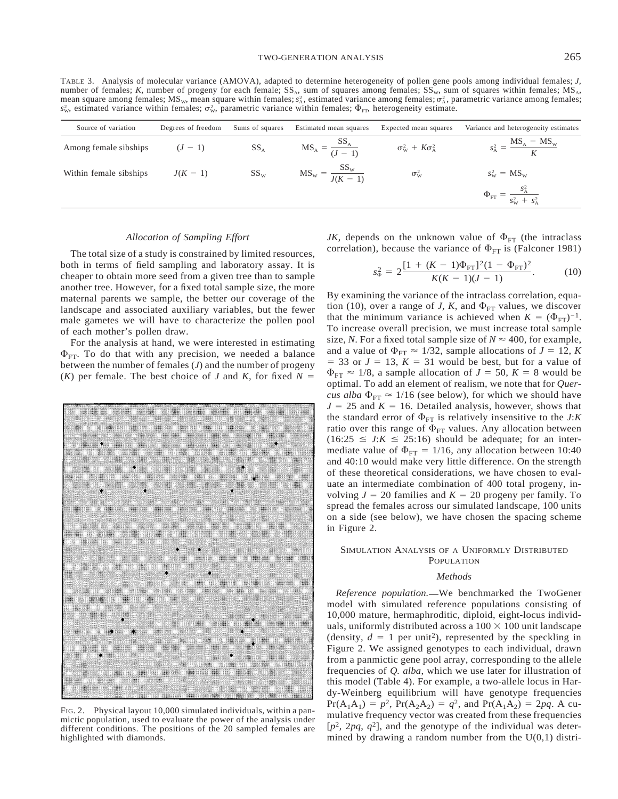TABLE 3. Analysis of molecular variance (AMOVA), adapted to determine heterogeneity of pollen gene pools among individual females; *J,* number of females; *K*, number of progeny for each female;  $SS_A$ , sum of squares among females;  $SS_w$ , sum of squares within females;  $MS_A$ , mean square among females;  $MS_w$ , mean square within females;  $s_A^2$ , estimated variance among females;  $\sigma_A^2$ , parametric variance among females;  $s_w^2$ , estimated variance within females;  $\sigma_w^2$ , parametric variance within females;  $\Phi_{\text{FT}}$ , heterogeneity estimate.

| Source of variation    | Degrees of freedom | Sums of squares | Estimated mean squares        | Expected mean squares                    | Variance and heterogeneity estimates                     |
|------------------------|--------------------|-----------------|-------------------------------|------------------------------------------|----------------------------------------------------------|
| Among female sibships  | $(J - 1)$          | $SS_A$          | $MS_A = \frac{SS_A}{(I - 1)}$ | $\sigma_{\rm w}^2$ + $K\sigma_{\rm A}^2$ | $s_{A}^{2} = \frac{MS_{A} - MS_{W}}{M}$<br>$\frac{K}{K}$ |
| Within female sibships | $J(K - 1)$         | $SS_{w}$        | $MS_w = \frac{SS_w}{J(K-1)}$  | $\sigma_w^2$                             | $s_w^2 = MS_w$                                           |
|                        |                    |                 |                               |                                          |                                                          |

## *Allocation of Sampling Effort*

The total size of a study is constrained by limited resources, both in terms of field sampling and laboratory assay. It is cheaper to obtain more seed from a given tree than to sample another tree. However, for a fixed total sample size, the more maternal parents we sample, the better our coverage of the landscape and associated auxiliary variables, but the fewer male gametes we will have to characterize the pollen pool of each mother's pollen draw.

For the analysis at hand, we were interested in estimating  $\Phi_{\text{FT}}$ . To do that with any precision, we needed a balance between the number of females (*J*) and the number of progeny  $(K)$  per female. The best choice of *J* and *K*, for fixed  $N =$ 



FIG. 2. Physical layout 10,000 simulated individuals, within a panmictic population, used to evaluate the power of the analysis under different conditions. The positions of the 20 sampled females are highlighted with diamonds.

*JK*, depends on the unknown value of  $\Phi_{FT}$  (the intraclass correlation), because the variance of  $\Phi_{\text{FT}}$  is (Falconer 1981)

$$
s_{\Phi}^2 = 2 \frac{[1 + (K - 1)\Phi_{\rm FT}]^2 (1 - \Phi_{\rm FT})^2}{K(K - 1)(J - 1)}.
$$
 (10)

By examining the variance of the intraclass correlation, equation (10), over a range of *J, K*, and  $\Phi_{\text{FT}}$  values, we discover that the minimum variance is achieved when  $K = (\Phi_{\text{FT}})^{-1}$ . To increase overall precision, we must increase total sample size, *N*. For a fixed total sample size of  $N \approx 400$ , for example, and a value of  $\Phi_{\text{FT}} \approx 1/32$ , sample allocations of  $J = 12$ , K  $=$  33 or  $J = 13$ ,  $K = 31$  would be best, but for a value of  $\Phi_{\text{FT}} \approx 1/8$ , a sample allocation of  $J = 50$ ,  $K = 8$  would be optimal. To add an element of realism, we note that for *Quercus alba*  $\Phi_{\text{FT}} \approx 1/16$  (see below), for which we should have  $J = 25$  and  $K = 16$ . Detailed analysis, however, shows that the standard error of  $\Phi_{\text{FT}}$  is relatively insensitive to the *J*:*K* ratio over this range of  $\Phi_{\text{FT}}$  values. Any allocation between  $(16:25 \leq J:K \leq 25:16)$  should be adequate; for an intermediate value of  $\Phi_{\text{FT}} = 1/16$ , any allocation between 10:40 and 40:10 would make very little difference. On the strength of these theoretical considerations, we have chosen to evaluate an intermediate combination of 400 total progeny, involving  $J = 20$  families and  $K = 20$  progeny per family. To spread the females across our simulated landscape, 100 units on a side (see below), we have chosen the spacing scheme in Figure 2.

# SIMULATION ANALYSIS OF A UNIFORMLY DISTRIBUTED POPULATION

## *Methods*

*Reference population.* We benchmarked the TwoGener model with simulated reference populations consisting of 10,000 mature, hermaphroditic, diploid, eight-locus individuals, uniformly distributed across a  $100 \times 100$  unit landscape (density,  $d = 1$  per unit<sup>2</sup>), represented by the speckling in Figure 2. We assigned genotypes to each individual, drawn from a panmictic gene pool array, corresponding to the allele frequencies of *Q. alba*, which we use later for illustration of this model (Table 4). For example, a two-allele locus in Hardy-Weinberg equilibrium will have genotype frequencies  $Pr(A_1A_1) = p^2$ ,  $Pr(A_2A_2) = q^2$ , and  $Pr(A_1A_2) = 2pq$ . A cumulative frequency vector was created from these frequencies [*p*2, 2*pq*, *q*2], and the genotype of the individual was determined by drawing a random number from the  $U(0,1)$  distri-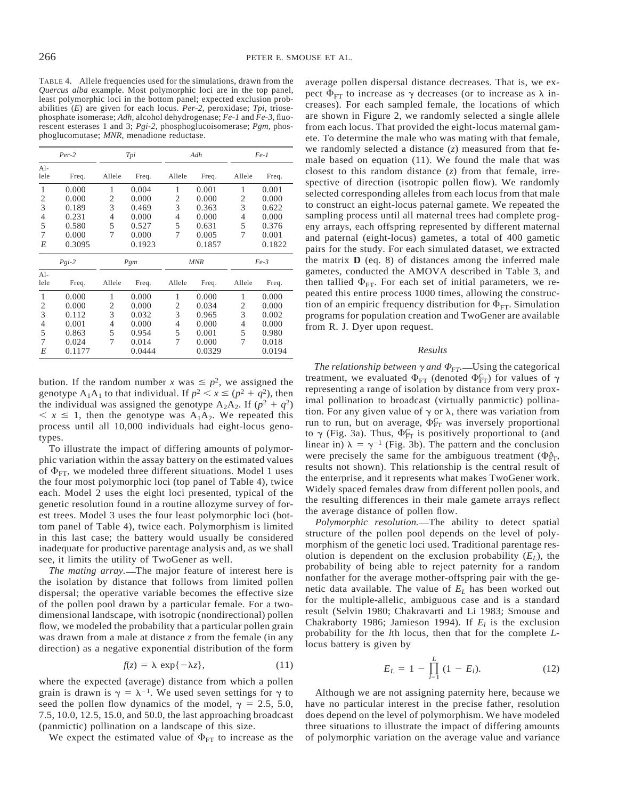TABLE 4. Allele frequencies used for the simulations, drawn from the *Quercus alba* example. Most polymorphic loci are in the top panel, least polymorphic loci in the bottom panel; expected exclusion probabilities (*E*) are given for each locus. *Per-2,* peroxidase; *Tpi,* triosephosphate isomerase; *Adh,* alcohol dehydrogenase; *Fe-1* and *Fe-3,* fluorescent esterases 1 and 3; *Pgi-2,* phosphoglucoisomerase; *Pgm,* phosphoglucomutase; *MNR,* menadione reductase.

|                                 | $Per-2$                                                      |                                         | Tpi                                                          |                            | Adh                                                          |                            | $Fe-1$                                                       |
|---------------------------------|--------------------------------------------------------------|-----------------------------------------|--------------------------------------------------------------|----------------------------|--------------------------------------------------------------|----------------------------|--------------------------------------------------------------|
| $Al-$<br>lele                   | Freq.                                                        | Allele                                  | Freq.                                                        | Allele                     | Freq.                                                        | Allele                     | Freq.                                                        |
| 1<br>2<br>3<br>4<br>5<br>7<br>E | 0.000<br>0.000<br>0.189<br>0.231<br>0.580<br>0.000<br>0.3095 | 1<br>2<br>3<br>$\overline{4}$<br>5<br>7 | 0.004<br>0.000<br>0.469<br>0.000<br>0.527<br>0.000<br>0.1923 | 1<br>2<br>3<br>4<br>5<br>7 | 0.001<br>0.000<br>0.363<br>0.000<br>0.631<br>0.005<br>0.1857 | 1<br>2<br>3<br>4<br>5<br>7 | 0.001<br>0.000<br>0.622<br>0.000<br>0.376<br>0.001<br>0.1822 |
| $Al-$                           | $Pgi-2$                                                      | Pgm                                     |                                                              | <b>MNR</b>                 |                                                              | $Fe-3$                     |                                                              |
| lele                            | Freq.                                                        | Allele                                  | Freq.                                                        | Allele                     | Freq.                                                        | Allele                     | Freq.                                                        |
| 1<br>2<br>3<br>4<br>5<br>7<br>E | 0.000<br>0.000<br>0.112<br>0.001<br>0.863<br>0.024<br>0.1177 | 1<br>2<br>3<br>4<br>5<br>7              | 0.000<br>0.000<br>0.032<br>0.000<br>0.954<br>0.014<br>0.0444 | 1<br>2<br>3<br>4<br>5<br>7 | 0.000<br>0.034<br>0.965<br>0.000<br>0.001<br>0.000<br>0.0329 | 1<br>2<br>3<br>4<br>5<br>7 | 0.000<br>0.000<br>0.002<br>0.000<br>0.980<br>0.018<br>0.0194 |

bution. If the random number *x* was  $\leq p^2$ , we assigned the genotype  $A_1A_1$  to that individual. If  $p^2 < x \le (p^2 + q^2)$ , then the individual was assigned the genotype  $A_2A_2$ . If  $(p^2 + q^2)$  $x \leq 1$ , then the genotype was A<sub>1</sub>A<sub>2</sub>. We repeated this process until all 10,000 individuals had eight-locus genotypes.

To illustrate the impact of differing amounts of polymorphic variation within the assay battery on the estimated values of  $\Phi_{\text{FT}}$ , we modeled three different situations. Model 1 uses the four most polymorphic loci (top panel of Table 4), twice each. Model 2 uses the eight loci presented, typical of the genetic resolution found in a routine allozyme survey of forest trees. Model 3 uses the four least polymorphic loci (bottom panel of Table 4), twice each. Polymorphism is limited in this last case; the battery would usually be considered inadequate for productive parentage analysis and, as we shall see, it limits the utility of TwoGener as well.

*The mating array.*—The major feature of interest here is the isolation by distance that follows from limited pollen dispersal; the operative variable becomes the effective size of the pollen pool drawn by a particular female. For a twodimensional landscape, with isotropic (nondirectional) pollen flow, we modeled the probability that a particular pollen grain was drawn from a male at distance *z* from the female (in any direction) as a negative exponential distribution of the form

$$
f(z) = \lambda \, \exp\{-\lambda z\},\tag{11}
$$

where the expected (average) distance from which a pollen grain is drawn is  $\gamma = \lambda^{-1}$ . We used seven settings for  $\gamma$  to seed the pollen flow dynamics of the model,  $\gamma = 2.5, 5.0,$ 7.5, 10.0, 12.5, 15.0, and 50.0, the last approaching broadcast (panmictic) pollination on a landscape of this size.

We expect the estimated value of  $\Phi_{FT}$  to increase as the

average pollen dispersal distance decreases. That is, we expect  $\Phi_{\text{FT}}$  to increase as  $\gamma$  decreases (or to increase as  $\lambda$  increases). For each sampled female, the locations of which are shown in Figure 2, we randomly selected a single allele from each locus. That provided the eight-locus maternal gamete. To determine the male who was mating with that female, we randomly selected a distance (*z*) measured from that female based on equation (11). We found the male that was closest to this random distance (*z*) from that female, irrespective of direction (isotropic pollen flow). We randomly selected corresponding alleles from each locus from that male to construct an eight-locus paternal gamete. We repeated the sampling process until all maternal trees had complete progeny arrays, each offspring represented by different maternal and paternal (eight-locus) gametes, a total of 400 gametic pairs for the study. For each simulated dataset, we extracted the matrix **D** (eq. 8) of distances among the inferred male gametes, conducted the AMOVA described in Table 3, and then tallied  $\Phi_{\text{FT}}$ . For each set of initial parameters, we repeated this entire process 1000 times, allowing the construction of an empiric frequency distribution for  $\Phi_{\text{FT}}$ . Simulation programs for population creation and TwoGener are available from R. J. Dyer upon request.

## *Results*

*The relationship between*  $\gamma$  *and*  $\Phi$ <sub>FT</sub>. - Using the categorical treatment, we evaluated  $\Phi_{FT}$  (denoted  $\Phi_{FT}^C$ ) for values of  $\gamma$ representing a range of isolation by distance from very proximal pollination to broadcast (virtually panmictic) pollination. For any given value of  $\gamma$  or  $\lambda$ , there was variation from run to run, but on average,  $\Phi_{FT}^C$  was inversely proportional to  $\gamma$  (Fig. 3a). Thus,  $\Phi_{FT}^C$  is positively proportional to (and linear in)  $\lambda = \gamma^{-1}$  (Fig. 3b). The pattern and the conclusion were precisely the same for the ambiguous treatment ( $\Phi_{\text{FT}}^{\text{A}}$ , results not shown). This relationship is the central result of the enterprise, and it represents what makes TwoGener work. Widely spaced females draw from different pollen pools, and the resulting differences in their male gamete arrays reflect the average distance of pollen flow.

*Polymorphic resolution.* The ability to detect spatial structure of the pollen pool depends on the level of polymorphism of the genetic loci used. Traditional parentage resolution is dependent on the exclusion probability  $(E_L)$ , the probability of being able to reject paternity for a random nonfather for the average mother-offspring pair with the genetic data available. The value of *EL* has been worked out for the multiple-allelic, ambiguous case and is a standard result (Selvin 1980; Chakravarti and Li 1983; Smouse and Chakraborty 1986; Jamieson 1994). If *El* is the exclusion probability for the *l*th locus, then that for the complete *L*locus battery is given by

$$
E_L = 1 - \prod_{l=1}^{L} (1 - E_l). \tag{12}
$$

Although we are not assigning paternity here, because we have no particular interest in the precise father, resolution does depend on the level of polymorphism. We have modeled three situations to illustrate the impact of differing amounts of polymorphic variation on the average value and variance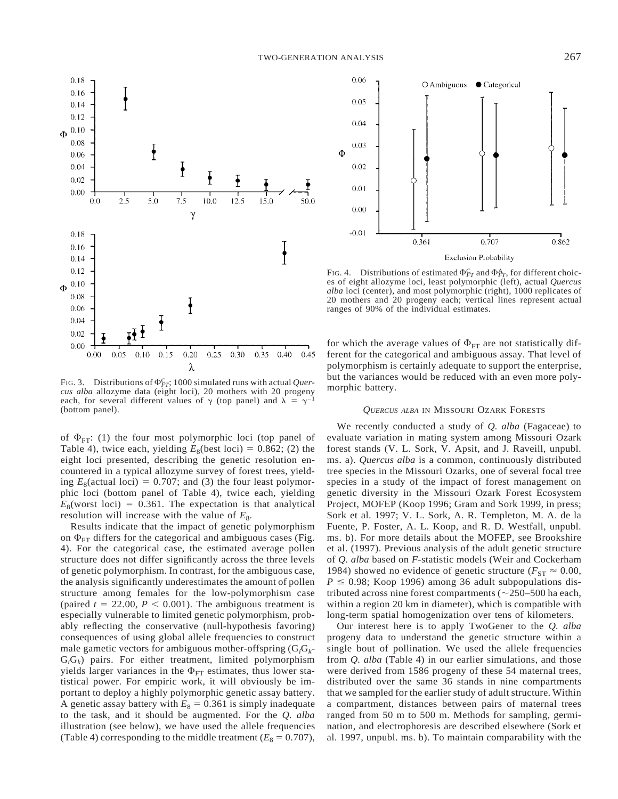

FIG. 3. Distributions of  $\Phi_{FT}^C$ ; 1000 simulated runs with actual *Quercus alba* allozyme data (eight loci), 20 mothers with 20 progeny each, for several different values of  $\gamma$  (top panel) and  $\lambda = \gamma^{-1}$ (bottom panel).

of  $\Phi_{\text{FT}}$ : (1) the four most polymorphic loci (top panel of Table 4), twice each, yielding  $E_8$ (best loci) = 0.862; (2) the eight loci presented, describing the genetic resolution encountered in a typical allozyme survey of forest trees, yielding  $E_8$ (actual loci) = 0.707; and (3) the four least polymorphic loci (bottom panel of Table 4), twice each, yielding  $E_8$ (worst loci) = 0.361. The expectation is that analytical resolution will increase with the value of  $E_8$ .

Results indicate that the impact of genetic polymorphism on  $\Phi_{\text{FT}}$  differs for the categorical and ambiguous cases (Fig. 4). For the categorical case, the estimated average pollen structure does not differ significantly across the three levels of genetic polymorphism. In contrast, for the ambiguous case, the analysis significantly underestimates the amount of pollen structure among females for the low-polymorphism case (paired  $t = 22.00$ ,  $P < 0.001$ ). The ambiguous treatment is especially vulnerable to limited genetic polymorphism, probably reflecting the conservative (null-hypothesis favoring) consequences of using global allele frequencies to construct male gametic vectors for ambiguous mother-offspring (G*i*G*k*-G*i*G*k*) pairs. For either treatment, limited polymorphism yields larger variances in the  $\Phi_{\text{FT}}$  estimates, thus lower statistical power. For empiric work, it will obviously be important to deploy a highly polymorphic genetic assay battery. A genetic assay battery with  $E_8 = 0.361$  is simply inadequate to the task, and it should be augmented. For the *Q. alba* illustration (see below), we have used the allele frequencies (Table 4) corresponding to the middle treatment ( $E_8 = 0.707$ ),



FIG. 4. Distributions of estimated  $\Phi_{FT}^C$  and  $\Phi_{FT}^A$ , for different choices of eight allozyme loci, least polymorphic (left), actual *Quercus alba* loci (center), and most polymorphic (right), 1000 replicates of 20 mothers and 20 progeny each; vertical lines represent actual ranges of 90% of the individual estimates.

for which the average values of  $\Phi_{FT}$  are not statistically different for the categorical and ambiguous assay. That level of polymorphism is certainly adequate to support the enterprise, but the variances would be reduced with an even more polymorphic battery.

## *QUERCUS ALBA* IN MISSOURI OZARK FORESTS

We recently conducted a study of *Q. alba* (Fagaceae) to evaluate variation in mating system among Missouri Ozark forest stands (V. L. Sork, V. Apsit, and J. Raveill, unpubl. ms. a). *Quercus alba* is a common, continuously distributed tree species in the Missouri Ozarks, one of several focal tree species in a study of the impact of forest management on genetic diversity in the Missouri Ozark Forest Ecosystem Project, MOFEP (Koop 1996; Gram and Sork 1999, in press; Sork et al. 1997; V. L. Sork, A. R. Templeton, M. A. de la Fuente, P. Foster, A. L. Koop, and R. D. Westfall, unpubl. ms. b). For more details about the MOFEP, see Brookshire et al. (1997). Previous analysis of the adult genetic structure of *Q. alba* based on *F*-statistic models (Weir and Cockerham 1984) showed no evidence of genetic structure ( $F_{ST} \approx 0.00$ ,  $P \le 0.98$ ; Koop 1996) among 36 adult subpopulations distributed across nine forest compartments ( $\sim$ 250–500 ha each, within a region 20 km in diameter), which is compatible with long-term spatial homogenization over tens of kilometers.

Our interest here is to apply TwoGener to the *Q. alba* progeny data to understand the genetic structure within a single bout of pollination. We used the allele frequencies from *Q. alba* (Table 4) in our earlier simulations, and those were derived from 1586 progeny of these 54 maternal trees, distributed over the same 36 stands in nine compartments that we sampled for the earlier study of adult structure. Within a compartment, distances between pairs of maternal trees ranged from 50 m to 500 m. Methods for sampling, germination, and electrophoresis are described elsewhere (Sork et al. 1997, unpubl. ms. b). To maintain comparability with the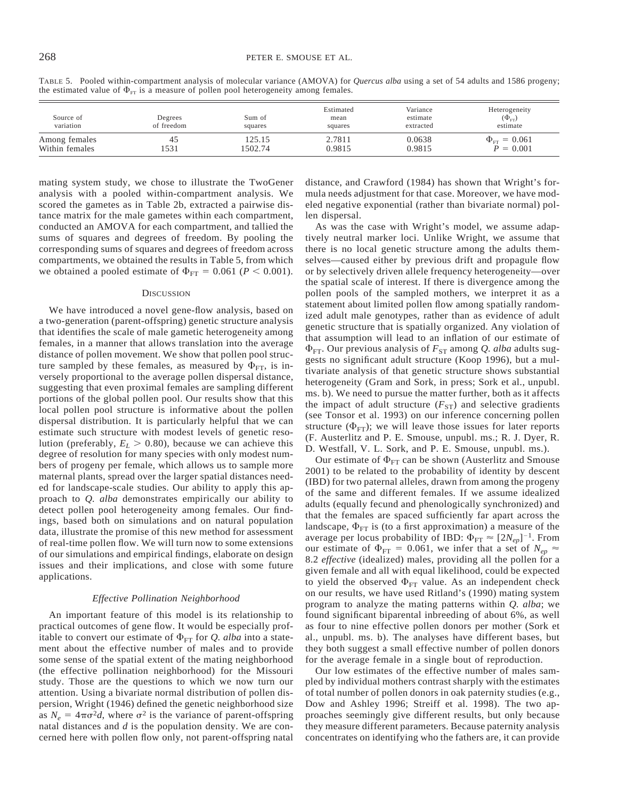| Source of<br>variation          | Degrees<br>of freedom | Sum of<br>squares | Estimated<br>mean<br>squares | Variance<br>estimate<br>extracted | Heterogeneity<br>$(\Phi_{\text{FT}})$<br>estimate         |
|---------------------------------|-----------------------|-------------------|------------------------------|-----------------------------------|-----------------------------------------------------------|
| Among females<br>Within females | 45<br>1531            | 125.15<br>1502.74 | 2.7811<br>0.9815             | 0.0638<br>0.9815                  | $= 0.061$<br>$\Phi_{\text{\tiny E}\Gamma}$<br>$P = 0.001$ |

TABLE 5. Pooled within-compartment analysis of molecular variance (AMOVA) for *Quercus alba* using a set of 54 adults and 1586 progeny; the estimated value of  $\Phi_{\text{FT}}$  is a measure of pollen pool heterogeneity among females.

mating system study, we chose to illustrate the TwoGener analysis with a pooled within-compartment analysis. We scored the gametes as in Table 2b, extracted a pairwise distance matrix for the male gametes within each compartment, conducted an AMOVA for each compartment, and tallied the sums of squares and degrees of freedom. By pooling the corresponding sums of squares and degrees of freedom across compartments, we obtained the results in Table 5, from which we obtained a pooled estimate of  $\Phi_{\text{FT}} = 0.061$  ( $P < 0.001$ ).

#### **DISCUSSION**

We have introduced a novel gene-flow analysis, based on a two-generation (parent-offspring) genetic structure analysis that identifies the scale of male gametic heterogeneity among females, in a manner that allows translation into the average distance of pollen movement. We show that pollen pool structure sampled by these females, as measured by  $\Phi_{\text{FT}}$ , is inversely proportional to the average pollen dispersal distance, suggesting that even proximal females are sampling different portions of the global pollen pool. Our results show that this local pollen pool structure is informative about the pollen dispersal distribution. It is particularly helpful that we can estimate such structure with modest levels of genetic resolution (preferably,  $E_L > 0.80$ ), because we can achieve this degree of resolution for many species with only modest numbers of progeny per female, which allows us to sample more maternal plants, spread over the larger spatial distances needed for landscape-scale studies. Our ability to apply this approach to *Q. alba* demonstrates empirically our ability to detect pollen pool heterogeneity among females. Our findings, based both on simulations and on natural population data, illustrate the promise of this new method for assessment of real-time pollen flow. We will turn now to some extensions of our simulations and empirical findings, elaborate on design issues and their implications, and close with some future applications.

#### *Effective Pollination Neighborhood*

An important feature of this model is its relationship to practical outcomes of gene flow. It would be especially profitable to convert our estimate of  $\Phi_{\text{FT}}$  for *Q. alba* into a statement about the effective number of males and to provide some sense of the spatial extent of the mating neighborhood (the effective pollination neighborhood) for the Missouri study. Those are the questions to which we now turn our attention. Using a bivariate normal distribution of pollen dispersion, Wright (1946) defined the genetic neighborhood size as  $N_e = 4\pi\sigma^2 d$ , where  $\sigma^2$  is the variance of parent-offspring natal distances and *d* is the population density. We are concerned here with pollen flow only, not parent-offspring natal distance, and Crawford (1984) has shown that Wright's formula needs adjustment for that case. Moreover, we have modeled negative exponential (rather than bivariate normal) pollen dispersal.

As was the case with Wright's model, we assume adaptively neutral marker loci. Unlike Wright, we assume that there is no local genetic structure among the adults themselves—caused either by previous drift and propagule flow or by selectively driven allele frequency heterogeneity—over the spatial scale of interest. If there is divergence among the pollen pools of the sampled mothers, we interpret it as a statement about limited pollen flow among spatially randomized adult male genotypes, rather than as evidence of adult genetic structure that is spatially organized. Any violation of that assumption will lead to an inflation of our estimate of  $\Phi_{\text{FT}}$ . Our previous analysis of  $F_{\text{ST}}$  among *Q. alba* adults suggests no significant adult structure (Koop 1996), but a multivariate analysis of that genetic structure shows substantial heterogeneity (Gram and Sork, in press; Sork et al., unpubl. ms. b). We need to pursue the matter further, both as it affects the impact of adult structure  $(F_{ST})$  and selective gradients (see Tonsor et al. 1993) on our inference concerning pollen structure ( $\Phi_{\text{FT}}$ ); we will leave those issues for later reports (F. Austerlitz and P. E. Smouse, unpubl. ms.; R. J. Dyer, R. D. Westfall, V. L. Sork, and P. E. Smouse, unpubl. ms.).

Our estimate of  $\Phi_{\text{FT}}$  can be shown (Austerlitz and Smouse 2001) to be related to the probability of identity by descent (IBD) for two paternal alleles, drawn from among the progeny of the same and different females. If we assume idealized adults (equally fecund and phenologically synchronized) and that the females are spaced sufficiently far apart across the landscape,  $\Phi_{FT}$  is (to a first approximation) a measure of the average per locus probability of IBD:  $\Phi_{FT} \approx [2N_{ep}]^{-1}$ . From our estimate of  $\Phi_{\text{FT}}$  = 0.061, we infer that a set of  $N_{ep} \approx$ 8.2 *effective* (idealized) males, providing all the pollen for a given female and all with equal likelihood, could be expected to yield the observed  $\Phi_{FT}$  value. As an independent check on our results, we have used Ritland's (1990) mating system program to analyze the mating patterns within *Q. alba*; we found significant biparental inbreeding of about 6%, as well as four to nine effective pollen donors per mother (Sork et al., unpubl. ms. b). The analyses have different bases, but they both suggest a small effective number of pollen donors for the average female in a single bout of reproduction.

Our low estimates of the effective number of males sampled by individual mothers contrast sharply with the estimates of total number of pollen donors in oak paternity studies (e.g., Dow and Ashley 1996; Streiff et al. 1998). The two approaches seemingly give different results, but only because they measure different parameters. Because paternity analysis concentrates on identifying who the fathers are, it can provide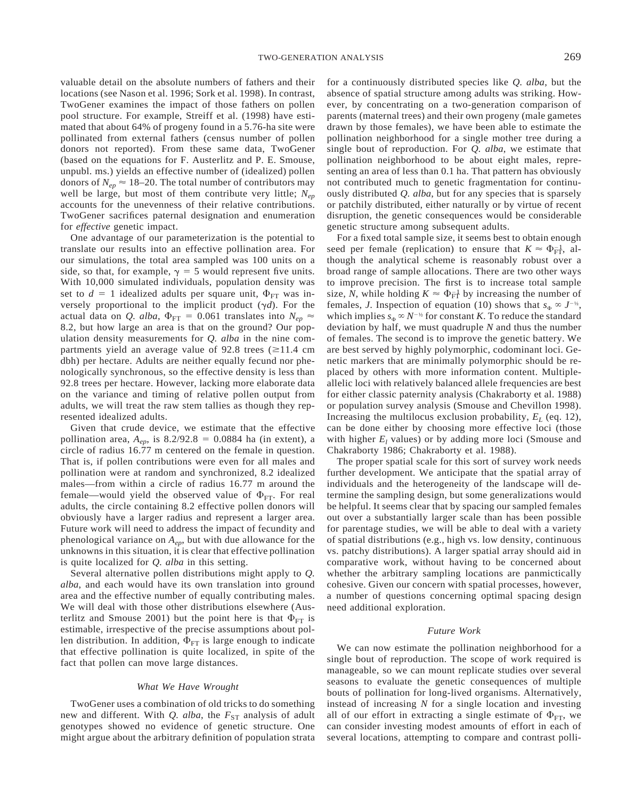valuable detail on the absolute numbers of fathers and their locations (see Nason et al. 1996; Sork et al. 1998). In contrast, TwoGener examines the impact of those fathers on pollen pool structure. For example, Streiff et al. (1998) have estimated that about 64% of progeny found in a 5.76-ha site were pollinated from external fathers (census number of pollen donors not reported). From these same data, TwoGener (based on the equations for F. Austerlitz and P. E. Smouse, unpubl. ms.) yields an effective number of (idealized) pollen donors of  $N_{ep} \approx 18-20$ . The total number of contributors may well be large, but most of them contribute very little; *Nep* accounts for the unevenness of their relative contributions. TwoGener sacrifices paternal designation and enumeration for *effective* genetic impact.

One advantage of our parameterization is the potential to translate our results into an effective pollination area. For our simulations, the total area sampled was 100 units on a side, so that, for example,  $\gamma = 5$  would represent five units. With 10,000 simulated individuals, population density was set to  $d = 1$  idealized adults per square unit,  $\Phi_{\text{FT}}$  was inversely proportional to the implicit product  $(\gamma d)$ . For the actual data on *Q. alba*,  $\Phi_{FT} = 0.061$  translates into  $N_{en} \approx$ 8.2, but how large an area is that on the ground? Our population density measurements for *Q. alba* in the nine compartments yield an average value of 92.8 trees  $(\geq 11.4 \text{ cm})$ dbh) per hectare. Adults are neither equally fecund nor phenologically synchronous, so the effective density is less than 92.8 trees per hectare. However, lacking more elaborate data on the variance and timing of relative pollen output from adults, we will treat the raw stem tallies as though they represented idealized adults.

Given that crude device, we estimate that the effective pollination area,  $A_{ep}$ , is  $8.2/92.8 = 0.0884$  ha (in extent), a circle of radius 16.77 m centered on the female in question. That is, if pollen contributions were even for all males and pollination were at random and synchronized, 8.2 idealized males—from within a circle of radius 16.77 m around the female—would yield the observed value of  $\Phi_{\text{FT}}$ . For real adults, the circle containing 8.2 effective pollen donors will obviously have a larger radius and represent a larger area. Future work will need to address the impact of fecundity and phenological variance on *Aep*, but with due allowance for the unknowns in this situation, it is clear that effective pollination is quite localized for *Q. alba* in this setting.

Several alternative pollen distributions might apply to *Q. alba*, and each would have its own translation into ground area and the effective number of equally contributing males. We will deal with those other distributions elsewhere (Austerlitz and Smouse 2001) but the point here is that  $\Phi_{FT}$  is estimable, irrespective of the precise assumptions about pollen distribution. In addition,  $\Phi_{FT}$  is large enough to indicate that effective pollination is quite localized, in spite of the fact that pollen can move large distances.

## *What We Have Wrought*

TwoGener uses a combination of old tricks to do something new and different. With *Q. alba*, the  $F_{ST}$  analysis of adult genotypes showed no evidence of genetic structure. One might argue about the arbitrary definition of population strata

for a continuously distributed species like *Q. alba*, but the absence of spatial structure among adults was striking. However, by concentrating on a two-generation comparison of parents (maternal trees) and their own progeny (male gametes drawn by those females), we have been able to estimate the pollination neighborhood for a single mother tree during a single bout of reproduction. For *Q. alba*, we estimate that pollination neighborhood to be about eight males, representing an area of less than 0.1 ha. That pattern has obviously not contributed much to genetic fragmentation for continuously distributed *Q. alba*, but for any species that is sparsely or patchily distributed, either naturally or by virtue of recent disruption, the genetic consequences would be considerable genetic structure among subsequent adults.

For a fixed total sample size, it seems best to obtain enough seed per female (replication) to ensure that  $K \approx \Phi_{\text{FT}}^{-1}$ , although the analytical scheme is reasonably robust over a broad range of sample allocations. There are two other ways to improve precision. The first is to increase total sample size, *N*, while holding  $K \approx \Phi_{\text{FT}}^{-1}$  by increasing the number of females, *J*. Inspection of equation (10) shows that  $s_{\Phi} \propto J^{-\frac{1}{2}}$ , which implies  $s_{\Phi} \propto N^{-\frac{1}{2}}$  for constant *K*. To reduce the standard deviation by half, we must quadruple *N* and thus the number of females. The second is to improve the genetic battery. We are best served by highly polymorphic, codominant loci. Genetic markers that are minimally polymorphic should be replaced by others with more information content. Multipleallelic loci with relatively balanced allele frequencies are best for either classic paternity analysis (Chakraborty et al. 1988) or population survey analysis (Smouse and Chevillon 1998). Increasing the multilocus exclusion probability,  $E_L$  (eq. 12), can be done either by choosing more effective loci (those with higher  $E_l$  values) or by adding more loci (Smouse and Chakraborty 1986; Chakraborty et al. 1988).

The proper spatial scale for this sort of survey work needs further development. We anticipate that the spatial array of individuals and the heterogeneity of the landscape will determine the sampling design, but some generalizations would be helpful. It seems clear that by spacing our sampled females out over a substantially larger scale than has been possible for parentage studies, we will be able to deal with a variety of spatial distributions (e.g., high vs. low density, continuous vs. patchy distributions). A larger spatial array should aid in comparative work, without having to be concerned about whether the arbitrary sampling locations are panmictically cohesive. Given our concern with spatial processes, however, a number of questions concerning optimal spacing design need additional exploration.

## *Future Work*

We can now estimate the pollination neighborhood for a single bout of reproduction. The scope of work required is manageable, so we can mount replicate studies over several seasons to evaluate the genetic consequences of multiple bouts of pollination for long-lived organisms. Alternatively, instead of increasing *N* for a single location and investing all of our effort in extracting a single estimate of  $\Phi_{\text{FT}}$ , we can consider investing modest amounts of effort in each of several locations, attempting to compare and contrast polli-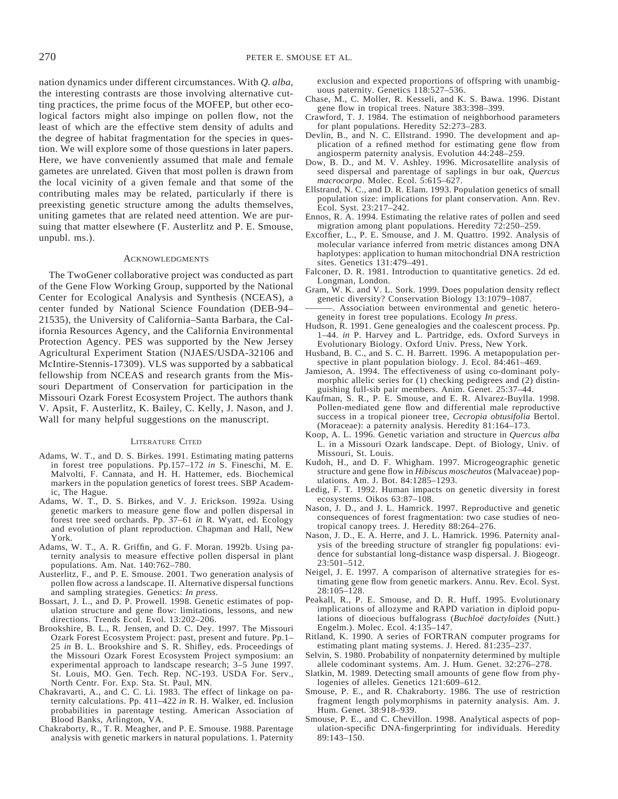nation dynamics under different circumstances. With *Q. alba*, the interesting contrasts are those involving alternative cutting practices, the prime focus of the MOFEP, but other ecological factors might also impinge on pollen flow, not the least of which are the effective stem density of adults and the degree of habitat fragmentation for the species in question. We will explore some of those questions in later papers. Here, we have conveniently assumed that male and female gametes are unrelated. Given that most pollen is drawn from the local vicinity of a given female and that some of the contributing males may be related, particularly if there is preexisting genetic structure among the adults themselves, uniting gametes that are related need attention. We are pursuing that matter elsewhere (F. Austerlitz and P. E. Smouse, unpubl. ms.).

#### **ACKNOWLEDGMENTS**

The TwoGener collaborative project was conducted as part of the Gene Flow Working Group, supported by the National Center for Ecological Analysis and Synthesis (NCEAS), a center funded by National Science Foundation (DEB-94– 21535), the University of California–Santa Barbara, the California Resources Agency, and the California Environmental Protection Agency. PES was supported by the New Jersey Agricultural Experiment Station (NJAES/USDA-32106 and McIntire-Stennis-17309). VLS was supported by a sabbatical fellowship from NCEAS and research grants from the Missouri Department of Conservation for participation in the Missouri Ozark Forest Ecosystem Project. The authors thank V. Apsit, F. Austerlitz, K. Bailey, C. Kelly, J. Nason, and J. Wall for many helpful suggestions on the manuscript.

#### LITERATURE CITED

- Adams, W. T., and D. S. Birkes. 1991. Estimating mating patterns in forest tree populations. Pp.157–172 *in* S. Fineschi, M. E. Malvolti, F. Cannata, and H. H. Hattemer, eds. Biochemical markers in the population genetics of forest trees. SBP Academic, The Hague.
- Adams, W. T., D. S. Birkes, and V. J. Erickson. 1992a. Using genetic markers to measure gene flow and pollen dispersal in forest tree seed orchards. Pp. 37–61 *in* R. Wyatt, ed. Ecology and evolution of plant reproduction. Chapman and Hall, New York.
- Adams, W. T., A. R. Griffin, and G. F. Moran. 1992b. Using paternity analysis to measure effective pollen dispersal in plant populations. Am. Nat. 140:762–780.
- Austerlitz, F., and P. E. Smouse. 2001. Two generation analysis of pollen flow across a landscape. II. Alternative dispersal functions and sampling strategies. Genetics: *In press*.
- Bossart, J. L., and D. P. Prowell. 1998. Genetic estimates of population structure and gene flow: limitations, lessons, and new directions. Trends Ecol. Evol. 13:202–206.
- Brookshire, B. L., R. Jensen, and D. C. Dey. 1997. The Missouri Ozark Forest Ecosystem Project: past, present and future. Pp.1– 25 *in* B. L. Brookshire and S. R. Shifley, eds. Proceedings of the Missouri Ozark Forest Ecosystem Project symposium: an experimental approach to landscape research; 3–5 June 1997. St. Louis, MO. Gen. Tech. Rep. NC-193. USDA For. Serv., North Centr. For. Exp. Sta. St. Paul, MN.
- Chakravarti, A., and C. C. Li. 1983. The effect of linkage on paternity calculations. Pp. 411–422 *in* R. H. Walker, ed. Inclusion probabilities in parentage testing. American Association of Blood Banks, Arlington, VA.
- Chakraborty, R., T. R. Meagher, and P. E. Smouse. 1988. Parentage analysis with genetic markers in natural populations. 1. Paternity

exclusion and expected proportions of offspring with unambiguous paternity. Genetics 118:527–536.

- Chase, M., C. Moller, R. Kesseli, and K. S. Bawa. 1996. Distant gene flow in tropical trees. Nature 383:398–399.
- Crawford, T. J. 1984. The estimation of neighborhood parameters for plant populations. Heredity 52:273–283.
- Devlin, B., and N. C. Ellstrand. 1990. The development and application of a refined method for estimating gene flow from angiosperm paternity analysis. Evolution 44:248–259.
- Dow, B. D., and M. V. Ashley. 1996. Microsatellite analysis of seed dispersal and parentage of saplings in bur oak, *Quercus macrocarpa*. Molec. Ecol. 5:615–627.
- Ellstrand, N. C., and D. R. Elam. 1993. Population genetics of small population size: implications for plant conservation. Ann. Rev. Ecol. Syst. 23:217–242.
- Ennos, R. A. 1994. Estimating the relative rates of pollen and seed migration among plant populations. Heredity 72:250–259.
- Excoffier, L., P. E. Smouse, and J. M. Quattro. 1992. Analysis of molecular variance inferred from metric distances among DNA haplotypes: application to human mitochondrial DNA restriction sites. Genetics 131:479–491.
- Falconer, D. R. 1981. Introduction to quantitative genetics. 2d ed. Longman, London.
- Gram, W. K. and V. L. Sork. 1999. Does population density reflect genetic diversity? Conservation Biology 13:1079–1087.
- . Association between environmental and genetic heterogeneity in forest tree populations. Ecology *In press*.
- Hudson, R. 1991. Gene genealogies and the coalescent process. Pp. 1–44. *in* P. Harvey and L. Partridge, eds. Oxford Surveys in Evolutionary Biology. Oxford Univ. Press, New York.
- Husband, B. C., and S. C. H. Barrett. 1996. A metapopulation perspective in plant population biology. J. Ecol. 84:461–469.
- Jamieson, A. 1994. The effectiveness of using co-dominant polymorphic allelic series for (1) checking pedigrees and (2) distinguishing full-sib pair members. Anim. Genet. 25:37–44.
- Kaufman, S. R., P. E. Smouse, and E. R. Alvarez-Buylla. 1998. Pollen-mediated gene flow and differential male reproductive success in a tropical pioneer tree, *Cecropia obtusifolia* Bertol. (Moraceae): a paternity analysis. Heredity 81:164–173.
- Koop, A. L. 1996. Genetic variation and structure in *Quercus alba* L. in a Missouri Ozark landscape. Dept. of Biology, Univ. of Missouri, St. Louis.
- Kudoh, H., and D. F. Whigham. 1997. Microgeographic genetic structure and gene flow in *Hibiscus moscheutos* (Malvaceae) populations. Am. J. Bot. 84:1285–1293.
- Ledig, F. T. 1992. Human impacts on genetic diversity in forest ecosystems. Oikos 63:87–108.
- Nason, J. D., and J. L. Hamrick. 1997. Reproductive and genetic consequences of forest fragmentation: two case studies of neotropical canopy trees. J. Heredity 88:264–276.
- Nason, J. D., E. A. Herre, and J. L. Hamrick. 1996. Paternity analysis of the breeding structure of strangler fig populations: evidence for substantial long-distance wasp dispersal. J. Biogeogr. 23:501–512.
- Neigel, J. E. 1997. A comparison of alternative strategies for estimating gene flow from genetic markers. Annu. Rev. Ecol. Syst. 28:105–128.
- Peakall, R., P. E. Smouse, and D. R. Huff. 1995. Evolutionary implications of allozyme and RAPD variation in diploid populations of dioecious buffalograss (*Buchloe¨ dactyloides* (Nutt.) Engelm.). Molec. Ecol. 4:135–147.
- Ritland, K. 1990. A series of FORTRAN computer programs for estimating plant mating systems. J. Hered. 81:235–237.
- Selvin, S. 1980. Probability of nonpaternity determined by multiple allele codominant systems. Am. J. Hum. Genet. 32:276–278.
- Slatkin, M. 1989. Detecting small amounts of gene flow from phylogenies of alleles. Genetics 121:609–612.
- Smouse, P. E., and R. Chakraborty. 1986. The use of restriction fragment length polymorphisms in paternity analysis. Am. J. Hum. Genet. 38:918–939.
- Smouse, P. E., and C. Chevillon. 1998. Analytical aspects of population-specific DNA-fingerprinting for individuals. Heredity 89:143–150.